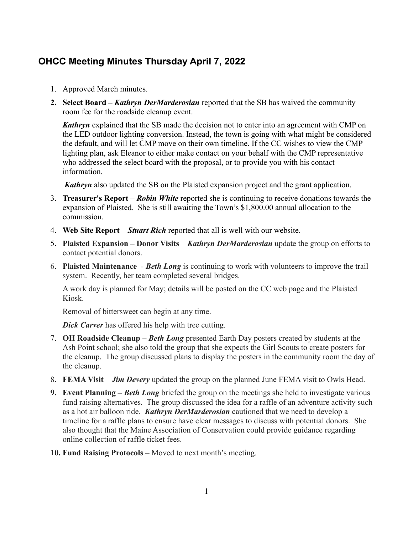## **OHCC Meeting Minutes Thursday April 7, 2022**

- 1. Approved March minutes.
- **2. Select Board** *Kathryn DerMarderosian* reported that the SB has waived the community room fee for the roadside cleanup event.

*Kathryn* explained that the SB made the decision not to enter into an agreement with CMP on the LED outdoor lighting conversion. Instead, the town is going with what might be considered the default, and will let CMP move on their own timeline. If the CC wishes to view the CMP lighting plan, ask Eleanor to either make contact on your behalf with the CMP representative who addressed the select board with the proposal, or to provide you with his contact information.

*Kathryn* also updated the SB on the Plaisted expansion project and the grant application.

- 3. **Treasurer's Report** *Robin White* reported she is continuing to receive donations towards the expansion of Plaisted. She is still awaiting the Town's \$1,800.00 annual allocation to the commission.
- 4. **Web Site Report** *Stuart Rich* reported that all is well with our website.
- 5. **Plaisted Expansion Donor Visits** *Kathryn DerMarderosian* update the group on efforts to contact potential donors.
- 6. **Plaisted Maintenance**  *Beth Long* is continuing to work with volunteers to improve the trail system. Recently, her team completed several bridges.

A work day is planned for May; details will be posted on the CC web page and the Plaisted Kiosk.

Removal of bittersweet can begin at any time.

*Dick Carver* has offered his help with tree cutting.

- 7. **OH Roadside Cleanup** *Beth Long* presented Earth Day posters created by students at the Ash Point school; she also told the group that she expects the Girl Scouts to create posters for the cleanup. The group discussed plans to display the posters in the community room the day of the cleanup.
- 8. **FEMA Visit** *Jim Devery* updated the group on the planned June FEMA visit to Owls Head.
- **9. Event Planning –** *Beth Long* briefed the group on the meetings she held to investigate various fund raising alternatives. The group discussed the idea for a raffle of an adventure activity such as a hot air balloon ride. *Kathryn DerMarderosian* cautioned that we need to develop a timeline for a raffle plans to ensure have clear messages to discuss with potential donors. She also thought that the Maine Association of Conservation could provide guidance regarding online collection of raffle ticket fees.
- **10. Fund Raising Protocols** Moved to next month's meeting.